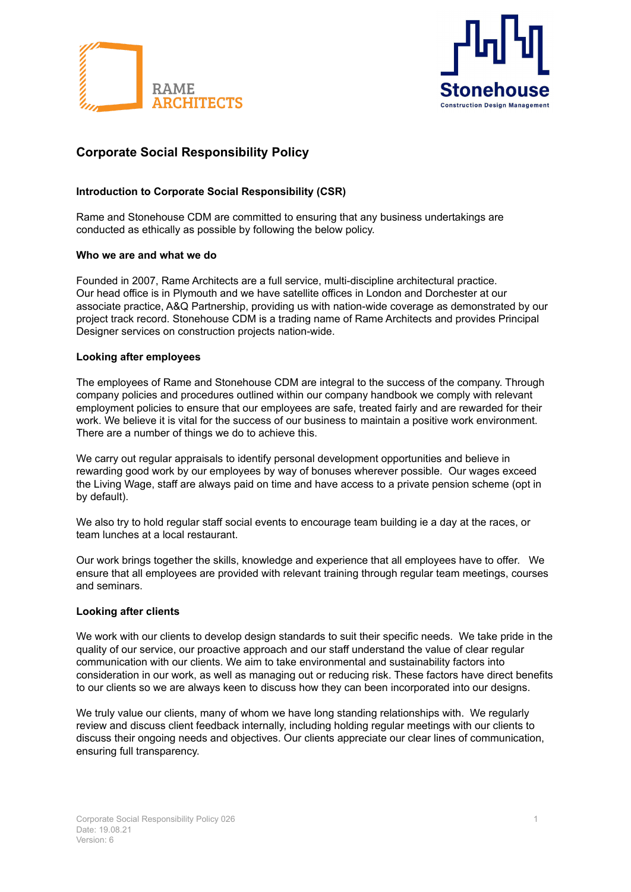



# **Corporate Social Responsibility Policy**

# **Introduction to Corporate Social Responsibility (CSR)**

Rame and Stonehouse CDM are committed to ensuring that any business undertakings are conducted as ethically as possible by following the below policy.

# **Who we are and what we do**

Founded in 2007, Rame Architects are a full service, multi-discipline architectural practice. Our head office is in Plymouth and we have satellite offices in London and Dorchester at our associate practice, A&Q Partnership, providing us with nation-wide coverage as demonstrated by our project track record. Stonehouse CDM is a trading name of Rame Architects and provides Principal Designer services on construction projects nation-wide.

# **Looking after employees**

The employees of Rame and Stonehouse CDM are integral to the success of the company. Through company policies and procedures outlined within our company handbook we comply with relevant employment policies to ensure that our employees are safe, treated fairly and are rewarded for their work. We believe it is vital for the success of our business to maintain a positive work environment. There are a number of things we do to achieve this.

We carry out regular appraisals to identify personal development opportunities and believe in rewarding good work by our employees by way of bonuses wherever possible. Our wages exceed the Living Wage, staff are always paid on time and have access to a private pension scheme (opt in by default).

We also try to hold regular staff social events to encourage team building ie a day at the races, or team lunches at a local restaurant.

Our work brings together the skills, knowledge and experience that all employees have to offer. We ensure that all employees are provided with relevant training through regular team meetings, courses and seminars.

# **Looking after clients**

We work with our clients to develop design standards to suit their specific needs. We take pride in the quality of our service, our proactive approach and our staff understand the value of clear regular communication with our clients. We aim to take environmental and sustainability factors into consideration in our work, as well as managing out or reducing risk. These factors have direct benefits to our clients so we are always keen to discuss how they can been incorporated into our designs.

We truly value our clients, many of whom we have long standing relationships with. We regularly review and discuss client feedback internally, including holding regular meetings with our clients to discuss their ongoing needs and objectives. Our clients appreciate our clear lines of communication, ensuring full transparency.